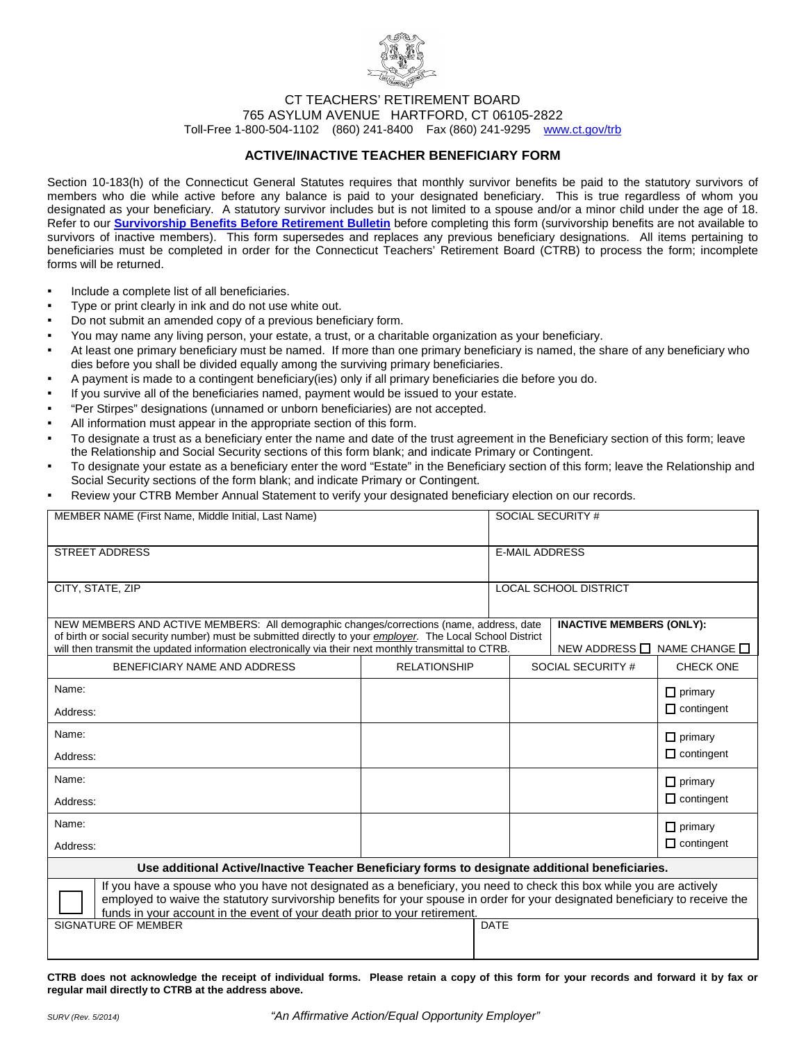

CT TEACHERS' RETIREMENT BOARD

765 ASYLUM AVENUE HARTFORD, CT 06105-2822

Toll-Free 1-800-504-1102 (860) 241-8400 Fax (860) 241-9295 [www.ct.gov/trb](http://www.ct.gov/trb/site/default.asp)

### **ACTIVE/INACTIVE TEACHER BENEFICIARY FORM**

<span id="page-0-0"></span>Section 10-183(h) of the Connecticut General Statutes requires that monthly survivor benefits be paid to the statutory survivors of members who die while active before any balance is paid to your designated beneficiary. This is true regardless of whom you designated as your beneficiary. A statutory survivor includes but is not limited to a spouse and/or a minor child under the age of 18. Refer to our **[Survivorship Benefits Before Retirement Bulletin](#page-1-0)** before completing this form (survivorship benefits are not available to survivors of inactive members). This form supersedes and replaces any previous beneficiary designations. All items pertaining to beneficiaries must be completed in order for the Connecticut Teachers' Retirement Board (CTRB) to process the form; incomplete forms will be returned.

- Include a complete list of all beneficiaries.
- Type or print clearly in ink and do not use white out.
- Do not submit an amended copy of a previous beneficiary form.
- You may name any living person, your estate, a trust, or a charitable organization as your beneficiary.
- At least one primary beneficiary must be named. If more than one primary beneficiary is named, the share of any beneficiary who dies before you shall be divided equally among the surviving primary beneficiaries.
- A payment is made to a contingent beneficiary(ies) only if all primary beneficiaries die before you do.
- If you survive all of the beneficiaries named, payment would be issued to your estate.
- "Per Stirpes" designations (unnamed or unborn beneficiaries) are not accepted.
- All information must appear in the appropriate section of this form.
- To designate a trust as a beneficiary enter the name and date of the trust agreement in the Beneficiary section of this form; leave the Relationship and Social Security sections of this form blank; and indicate Primary or Contingent.
- To designate your estate as a beneficiary enter the word "Estate" in the Beneficiary section of this form; leave the Relationship and Social Security sections of the form blank; and indicate Primary or Contingent.
- Review your CTRB Member Annual Statement to verify your designated beneficiary election on our records.

| MEMBER NAME (First Name, Middle Initial, Last Name)                                                                                                                                                                                                                                                                                 |                     | SOCIAL SECURITY #            |                                       |                   |  |
|-------------------------------------------------------------------------------------------------------------------------------------------------------------------------------------------------------------------------------------------------------------------------------------------------------------------------------------|---------------------|------------------------------|---------------------------------------|-------------------|--|
|                                                                                                                                                                                                                                                                                                                                     |                     |                              |                                       |                   |  |
| <b>STREET ADDRESS</b>                                                                                                                                                                                                                                                                                                               |                     |                              | <b>E-MAIL ADDRESS</b>                 |                   |  |
|                                                                                                                                                                                                                                                                                                                                     |                     |                              |                                       |                   |  |
| CITY, STATE, ZIP                                                                                                                                                                                                                                                                                                                    |                     | <b>LOCAL SCHOOL DISTRICT</b> |                                       |                   |  |
|                                                                                                                                                                                                                                                                                                                                     |                     |                              |                                       |                   |  |
| NEW MEMBERS AND ACTIVE MEMBERS: All demographic changes/corrections (name, address, date<br>of birth or social security number) must be submitted directly to your employer. The Local School District                                                                                                                              |                     |                              | <b>INACTIVE MEMBERS (ONLY):</b>       |                   |  |
| will then transmit the updated information electronically via their next monthly transmittal to CTRB.                                                                                                                                                                                                                               |                     |                              | NEW ADDRESS $\Box$ NAME CHANGE $\Box$ |                   |  |
| BENEFICIARY NAME AND ADDRESS                                                                                                                                                                                                                                                                                                        | <b>RELATIONSHIP</b> |                              | SOCIAL SECURITY #                     | CHECK ONE         |  |
| Name:                                                                                                                                                                                                                                                                                                                               |                     |                              |                                       | $\Box$ primary    |  |
| Address:                                                                                                                                                                                                                                                                                                                            |                     |                              |                                       | $\Box$ contingent |  |
| Name:                                                                                                                                                                                                                                                                                                                               |                     |                              |                                       | $\Box$ primary    |  |
| Address:                                                                                                                                                                                                                                                                                                                            |                     |                              |                                       | $\Box$ contingent |  |
| Name:                                                                                                                                                                                                                                                                                                                               |                     |                              |                                       | $\Box$ primary    |  |
| Address:                                                                                                                                                                                                                                                                                                                            |                     |                              |                                       | $\Box$ contingent |  |
| Name:                                                                                                                                                                                                                                                                                                                               |                     |                              |                                       | $\Box$ primary    |  |
| Address:                                                                                                                                                                                                                                                                                                                            |                     |                              |                                       | $\Box$ contingent |  |
| Use additional Active/Inactive Teacher Beneficiary forms to designate additional beneficiaries.                                                                                                                                                                                                                                     |                     |                              |                                       |                   |  |
| If you have a spouse who you have not designated as a beneficiary, you need to check this box while you are actively<br>employed to waive the statutory survivorship benefits for your spouse in order for your designated beneficiary to receive the<br>funds in your account in the event of your death prior to your retirement. |                     |                              |                                       |                   |  |
| SIGNATURE OF MEMBER                                                                                                                                                                                                                                                                                                                 |                     | <b>DATE</b>                  |                                       |                   |  |
|                                                                                                                                                                                                                                                                                                                                     |                     |                              |                                       |                   |  |

**CTRB does not acknowledge the receipt of individual forms. Please retain a copy of this form for your records and forward it by fax or regular mail directly to CTRB at the address above.**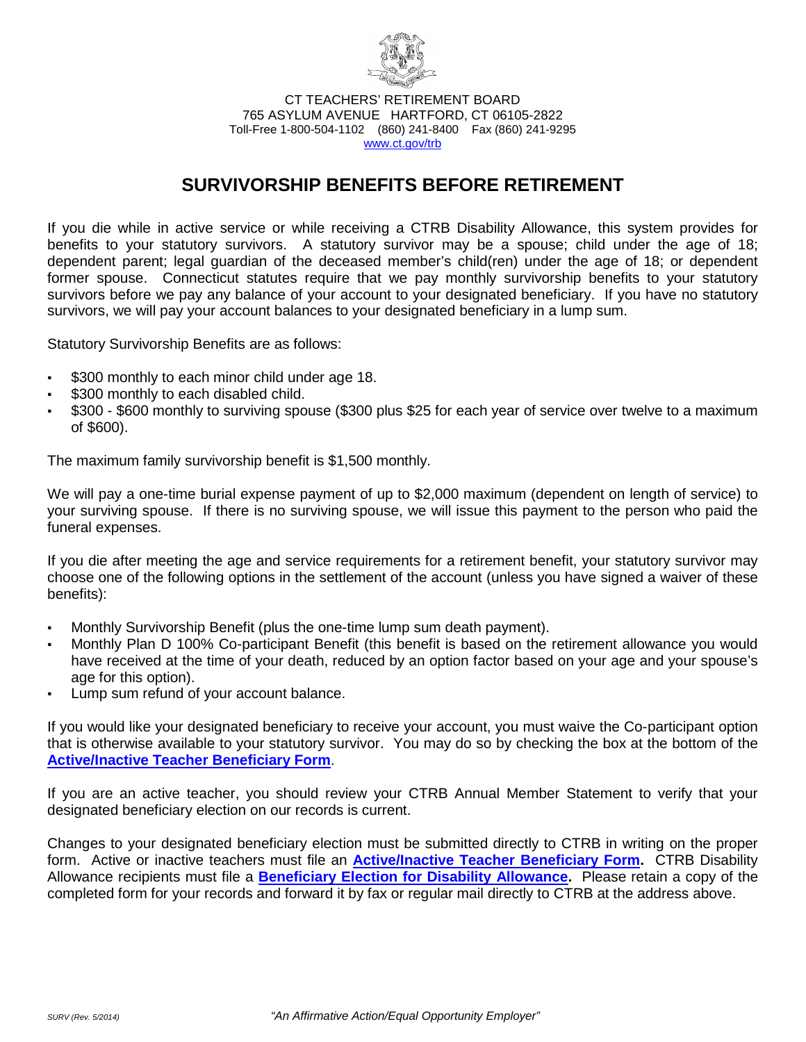

CT TEACHERS' RETIREMENT BOARD 765 ASYLUM AVENUE HARTFORD, CT 06105-2822 Toll-Free 1-800-504-1102 (860) 241-8400 Fax (860) 241-9295 [www.ct.gov/trb](http://www.ct.gov/trb/site/default.asp)

# **SURVIVORSHIP BENEFITS BEFORE RETIREMENT**

<span id="page-1-0"></span>If you die while in active service or while receiving a CTRB Disability Allowance, this system provides for benefits to your statutory survivors. A statutory survivor may be a spouse; child under the age of 18; dependent parent; legal guardian of the deceased member's child(ren) under the age of 18; or dependent former spouse. Connecticut statutes require that we pay monthly survivorship benefits to your statutory survivors before we pay any balance of your account to your designated beneficiary. If you have no statutory survivors, we will pay your account balances to your designated beneficiary in a lump sum.

Statutory Survivorship Benefits are as follows:

- \$300 monthly to each minor child under age 18.
- \$300 monthly to each disabled child.
- \$300 \$600 monthly to surviving spouse (\$300 plus \$25 for each year of service over twelve to a maximum of \$600).

The maximum family survivorship benefit is \$1,500 monthly.

We will pay a one-time burial expense payment of up to \$2,000 maximum (dependent on length of service) to your surviving spouse. If there is no surviving spouse, we will issue this payment to the person who paid the funeral expenses.

If you die after meeting the age and service requirements for a retirement benefit, your statutory survivor may choose one of the following options in the settlement of the account (unless you have signed a waiver of these benefits):

- Monthly Survivorship Benefit (plus the one-time lump sum death payment).
- Monthly Plan D 100% Co-participant Benefit (this benefit is based on the retirement allowance you would have received at the time of your death, reduced by an option factor based on your age and your spouse's age for this option).
- Lump sum refund of your account balance.

If you would like your designated beneficiary to receive your account, you must waive the Co-participant option that is otherwise available to your statutory survivor. You may do so by checking the box at the bottom of the **[Active/Inactive Teacher Beneficiary Form](#page-0-0)**.

If you are an active teacher, you should review your CTRB Annual Member Statement to verify that your designated beneficiary election on our records is current.

Changes to your designated beneficiary election must be submitted directly to CTRB in writing on the proper form. Active or inactive teachers must file an **Active/Inactive [Teacher Beneficiary Form.](#page-0-0)** CTRB Disability Allowance recipients must file a **[Beneficiary Election for Disability Allowance.](http://www.ct.gov/trb/lib/trb/formsandpubs/DisBenChg.pdf)** Please retain a copy of the completed form for your records and forward it by fax or regular mail directly to CTRB at the address above.